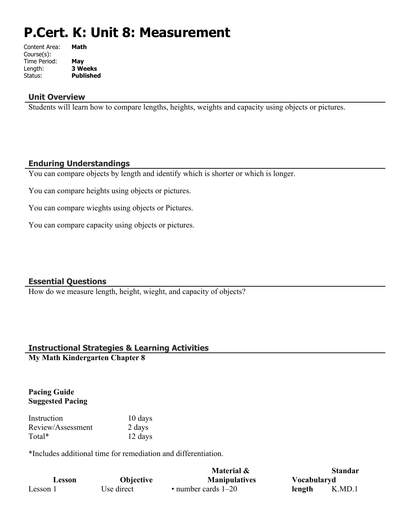# **P.Cert. K: Unit 8: Measurement**

| Content Area: | Math             |
|---------------|------------------|
| Course(s):    |                  |
| Time Period:  | May              |
| Length:       | <b>3 Weeks</b>   |
| Status:       | <b>Published</b> |
|               |                  |

### **Unit Overview**

Students will learn how to compare lengths, heights, weights and capacity using objects or pictures.

## **Enduring Understandings**

You can compare objects by length and identify which is shorter or which is longer.

You can compare heights using objects or pictures.

You can compare wieghts using objects or Pictures.

You can compare capacity using objects or pictures.

## **Essential Questions**

How do we measure length, height, wieght, and capacity of objects?

## **Instructional Strategies & Learning Activities**

**My Math Kindergarten Chapter 8**

#### **Pacing Guide Suggested Pacing**

| Instruction       | 10 days |
|-------------------|---------|
| Review/Assessment | 2 days  |
| Total*            | 12 days |

\*Includes additional time for remediation and differentiation.

|          |                  | Material &                |             | <b>Standar</b> |
|----------|------------------|---------------------------|-------------|----------------|
| Lesson   | <b>Objective</b> | <b>Manipulatives</b>      | Vocabularyd |                |
| Lesson 1 | Use direct       | $\cdot$ number cards 1–20 | length      | K.MD.1         |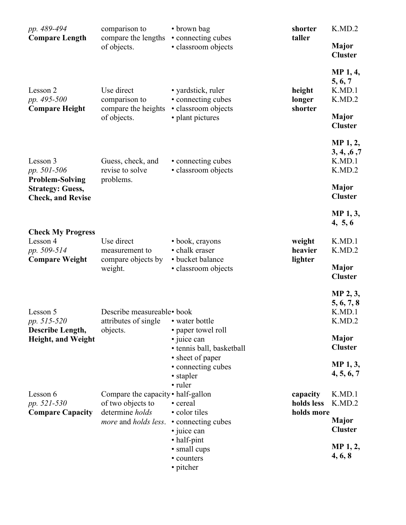| pp. 489-494                                                                   | comparison to                                                              | • brown bag                                                     | shorter<br>taller                    | K.MD.2                                            |
|-------------------------------------------------------------------------------|----------------------------------------------------------------------------|-----------------------------------------------------------------|--------------------------------------|---------------------------------------------------|
| <b>Compare Length</b>                                                         | compare the lengths<br>of objects.                                         | • connecting cubes<br>· classroom objects                       |                                      | <b>Major</b><br><b>Cluster</b>                    |
| Lesson 2<br>pp. 495-500<br><b>Compare Height</b>                              | Use direct<br>comparison to<br>compare the heights                         | • yardstick, ruler<br>• connecting cubes<br>· classroom objects | height<br>longer<br>shorter          | <b>MP</b> 1, 4,<br>5, 6, 7<br>K.MD.1<br>K.MD.2    |
|                                                                               | of objects.                                                                | • plant pictures                                                |                                      | <b>Major</b><br><b>Cluster</b>                    |
| Lesson 3<br>pp. 501-506                                                       | Guess, check, and<br>revise to solve                                       | • connecting cubes<br>• classroom objects                       |                                      | <b>MP</b> 1, 2,<br>3, 4, 6, 7<br>K.MD.1<br>K.MD.2 |
| <b>Problem-Solving</b><br><b>Strategy: Guess,</b><br><b>Check, and Revise</b> | problems.                                                                  |                                                                 |                                      | Major<br><b>Cluster</b>                           |
|                                                                               |                                                                            |                                                                 |                                      | MP 1, 3,<br>4, 5, 6                               |
| <b>Check My Progress</b><br>Lesson 4<br>pp. 509-514<br><b>Compare Weight</b>  | Use direct<br>measurement to                                               | • book, crayons<br>• chalk eraser<br>• bucket balance           | weight<br>heavier                    | K.MD.1<br>K.MD.2                                  |
|                                                                               | compare objects by<br>weight.                                              | · classroom objects                                             | lighter                              | <b>Major</b><br><b>Cluster</b>                    |
| Lesson 5<br>pp. 515-520                                                       | Describe measureable• book<br>attributes of single • water bottle          |                                                                 |                                      | MP 2, 3,<br>5, 6, 7, 8<br>K.MD.1<br>K.MD.2        |
| Describe Length,<br><b>Height, and Weight</b>                                 | objects.                                                                   | • paper towel roll<br>• juice can<br>• tennis ball, basketball  |                                      | <b>Major</b><br><b>Cluster</b>                    |
|                                                                               |                                                                            | • sheet of paper<br>• connecting cubes<br>• stapler<br>• ruler  |                                      | <b>MP</b> 1, 3,<br>4, 5, 6, 7                     |
| Lesson 6<br>pp. 521-530<br><b>Compare Capacity</b>                            | Compare the capacity • half-gallon<br>of two objects to<br>determine holds | • cereal<br>• color tiles                                       | capacity<br>holds less<br>holds more | K.MD.1<br>K.MD.2                                  |
|                                                                               | more and holds less. • connecting cubes                                    | • juice can                                                     |                                      | <b>Major</b><br><b>Cluster</b>                    |
|                                                                               |                                                                            | • half-pint<br>• small cups<br>• counters<br>• pitcher          |                                      | MP 1, 2,<br>4, 6, 8                               |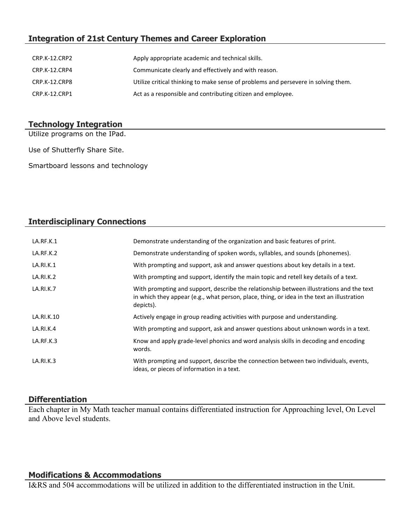# **Integration of 21st Century Themes and Career Exploration**

| CRP.K-12.CRP2 | Apply appropriate academic and technical skills.                                   |
|---------------|------------------------------------------------------------------------------------|
| CRP.K-12.CRP4 | Communicate clearly and effectively and with reason.                               |
| CRP.K-12.CRP8 | Utilize critical thinking to make sense of problems and persevere in solving them. |
| CRP.K-12.CRP1 | Act as a responsible and contributing citizen and employee.                        |

## **Technology Integration**

Utilize programs on the IPad.

Use of Shutterfly Share Site.

Smartboard lessons and technology

# **Interdisciplinary Connections**

| LA.RF.K.1  | Demonstrate understanding of the organization and basic features of print.                                                                                                                          |
|------------|-----------------------------------------------------------------------------------------------------------------------------------------------------------------------------------------------------|
| LA.RF.K.2  | Demonstrate understanding of spoken words, syllables, and sounds (phonemes).                                                                                                                        |
| LA.RI.K.1  | With prompting and support, ask and answer questions about key details in a text.                                                                                                                   |
| LA.RI.K.2  | With prompting and support, identify the main topic and retell key details of a text.                                                                                                               |
| LA.RI.K.7  | With prompting and support, describe the relationship between illustrations and the text<br>in which they appear (e.g., what person, place, thing, or idea in the text an illustration<br>depicts). |
| LA.RI.K.10 | Actively engage in group reading activities with purpose and understanding.                                                                                                                         |
| LA.RI.K.4  | With prompting and support, ask and answer questions about unknown words in a text.                                                                                                                 |
| LA.RF.K.3  | Know and apply grade-level phonics and word analysis skills in decoding and encoding<br>words.                                                                                                      |
| LA.RI.K.3  | With prompting and support, describe the connection between two individuals, events,<br>ideas, or pieces of information in a text.                                                                  |

## **Differentiation**

Each chapter in My Math teacher manual contains differentiated instruction for Approaching level, On Level and Above level students.

#### **Modifications & Accommodations**

I&RS and 504 accommodations will be utilized in addition to the differentiated instruction in the Unit.